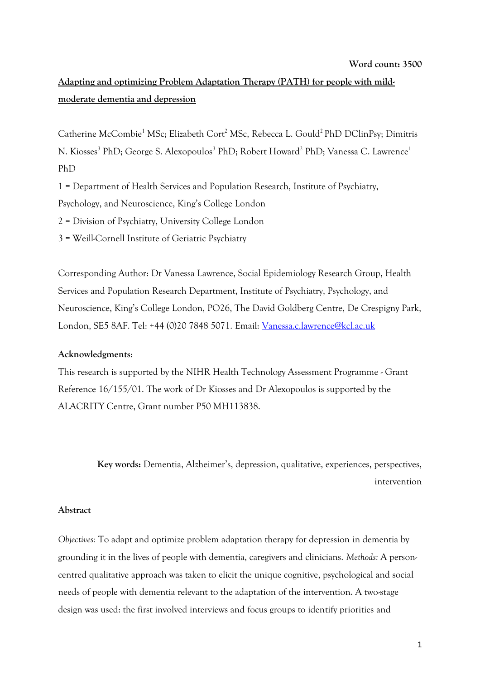# **Word count: 3500**

# **Adapting and optimizing Problem Adaptation Therapy (PATH) for people with mildmoderate dementia and depression**

Catherine McCombie<sup>1</sup> MSc; Elizabeth Cort<sup>2</sup> MSc, Rebecca L. Gould<sup>2</sup> PhD DClinPsy; Dimitris N. Kiosses<sup>3</sup> PhD; George S. Alexopoulos<sup>3</sup> PhD; Robert Howard<sup>2</sup> PhD; Vanessa C. Lawrence<sup>1</sup> PhD

1 = Department of Health Services and Population Research, Institute of Psychiatry,

Psychology, and Neuroscience, King's College London

2 = Division of Psychiatry, University College London

3 = Weill-Cornell Institute of Geriatric Psychiatry

Corresponding Author: Dr Vanessa Lawrence, Social Epidemiology Research Group, Health Services and Population Research Department, Institute of Psychiatry, Psychology, and Neuroscience, King's College London, PO26, The David Goldberg Centre, De Crespigny Park, London, SE5 8AF. Tel: +44 (0)20 7848 5071. Email: [Vanessa.c.lawrence@kcl.ac.uk](mailto:Vanessa.c.lawrence@kcl.ac.uk)

# **Acknowledgments**:

This research is supported by the NIHR Health Technology Assessment Programme - Grant Reference 16/155/01. The work of Dr Kiosses and Dr Alexopoulos is supported by the ALACRITY Centre, Grant number P50 MH113838.

> **Key words:** Dementia, Alzheimer's, depression, qualitative, experiences, perspectives, intervention

# **Abstract**

*Objectives:* To adapt and optimize problem adaptation therapy for depression in dementia by grounding it in the lives of people with dementia, caregivers and clinicians. *Methods:* A personcentred qualitative approach was taken to elicit the unique cognitive, psychological and social needs of people with dementia relevant to the adaptation of the intervention. A two-stage design was used: the first involved interviews and focus groups to identify priorities and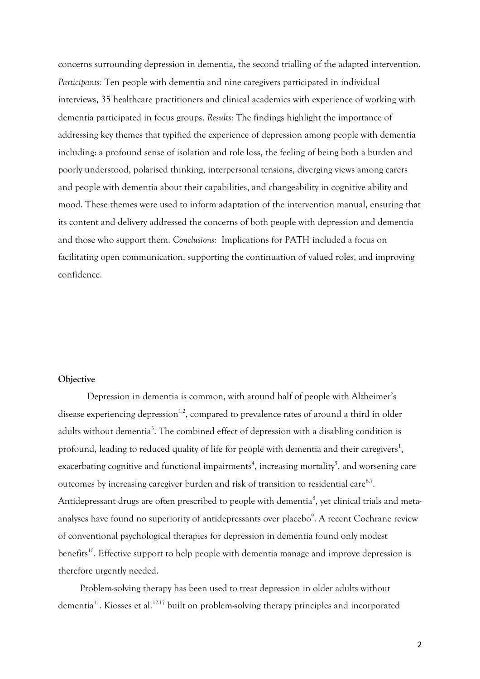concerns surrounding depression in dementia, the second trialling of the adapted intervention. *Participants:* Ten people with dementia and nine caregivers participated in individual interviews, 35 healthcare practitioners and clinical academics with experience of working with dementia participated in focus groups. *Results:* The findings highlight the importance of addressing key themes that typified the experience of depression among people with dementia including: a profound sense of isolation and role loss, the feeling of being both a burden and poorly understood, polarised thinking, interpersonal tensions, diverging views among carers and people with dementia about their capabilities, and changeability in cognitive ability and mood. These themes were used to inform adaptation of the intervention manual, ensuring that its content and delivery addressed the concerns of both people with depression and dementia and those who support them. *Conclusions:* Implications for PATH included a focus on facilitating open communication, supporting the continuation of valued roles, and improving confidence.

## **Objective**

Depression in dementia is common, with around half of people with Alzheimer's disease experiencing depression<sup>1,2</sup>, compared to prevalence rates of around a third in older adults without dementia<sup>3</sup>. The combined effect of depression with a disabling condition is profound, leading to reduced quality of life for people with dementia and their caregivers<sup>1</sup>, exacerbating cognitive and functional impairments<sup>4</sup>, increasing mortality<sup>5</sup>, and worsening care outcomes by increasing caregiver burden and risk of transition to residential care $^{6,7}$ . Antidepressant drugs are often prescribed to people with dementia $^{\rm 8}$ , yet clinical trials and metaanalyses have found no superiority of antidepressants over placebo $\rm ^{9}$ . A recent Cochrane review of conventional psychological therapies for depression in dementia found only modest benefits<sup>10</sup>. Effective support to help people with dementia manage and improve depression is therefore urgently needed.

Problem-solving therapy has been used to treat depression in older adults without dementia<sup>11</sup>. Kiosses et al.<sup>12-17</sup> built on problem-solving therapy principles and incorporated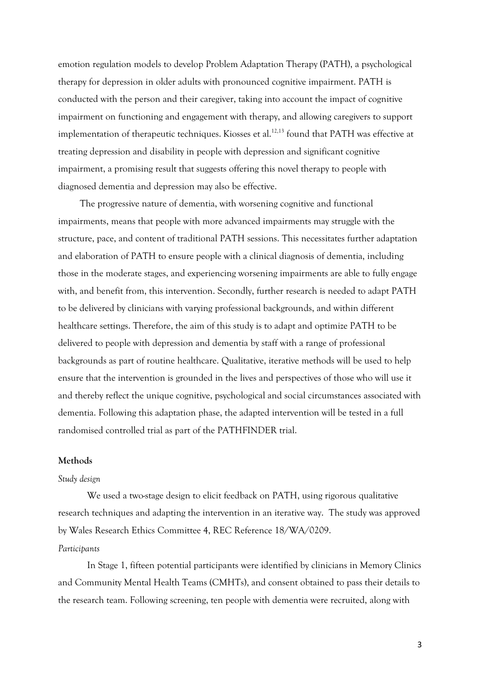emotion regulation models to develop Problem Adaptation Therapy (PATH), a psychological therapy for depression in older adults with pronounced cognitive impairment. PATH is conducted with the person and their caregiver, taking into account the impact of cognitive impairment on functioning and engagement with therapy, and allowing caregivers to support implementation of therapeutic techniques. Kiosses et al.<sup>12,13</sup> found that PATH was effective at treating depression and disability in people with depression and significant cognitive impairment, a promising result that suggests offering this novel therapy to people with diagnosed dementia and depression may also be effective.

The progressive nature of dementia, with worsening cognitive and functional impairments, means that people with more advanced impairments may struggle with the structure, pace, and content of traditional PATH sessions. This necessitates further adaptation and elaboration of PATH to ensure people with a clinical diagnosis of dementia, including those in the moderate stages, and experiencing worsening impairments are able to fully engage with, and benefit from, this intervention. Secondly, further research is needed to adapt PATH to be delivered by clinicians with varying professional backgrounds, and within different healthcare settings. Therefore, the aim of this study is to adapt and optimize PATH to be delivered to people with depression and dementia by staff with a range of professional backgrounds as part of routine healthcare. Qualitative, iterative methods will be used to help ensure that the intervention is grounded in the lives and perspectives of those who will use it and thereby reflect the unique cognitive, psychological and social circumstances associated with dementia. Following this adaptation phase, the adapted intervention will be tested in a full randomised controlled trial as part of the PATHFINDER trial.

#### **Methods**

#### *Study design*

We used a two-stage design to elicit feedback on PATH, using rigorous qualitative research techniques and adapting the intervention in an iterative way. The study was approved by Wales Research Ethics Committee 4, REC Reference 18/WA/0209.

# *Participants*

In Stage 1, fifteen potential participants were identified by clinicians in Memory Clinics and Community Mental Health Teams (CMHTs), and consent obtained to pass their details to the research team. Following screening, ten people with dementia were recruited, along with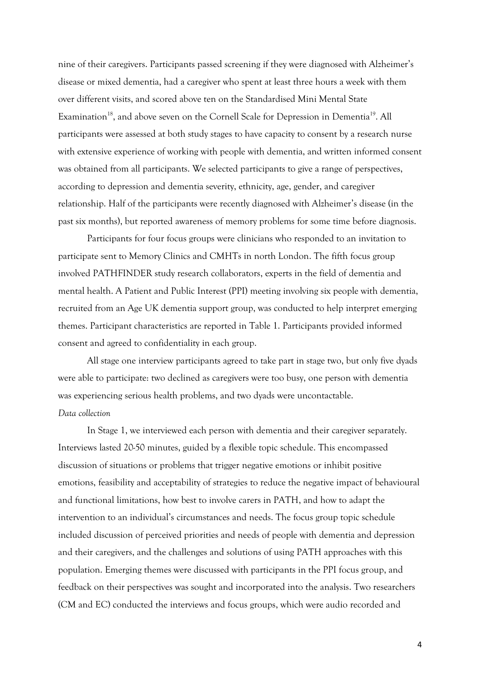nine of their caregivers. Participants passed screening if they were diagnosed with Alzheimer's disease or mixed dementia, had a caregiver who spent at least three hours a week with them over different visits, and scored above ten on the Standardised Mini Mental State Examination<sup>18</sup>, and above seven on the Cornell Scale for Depression in Dementia<sup>19</sup>. All participants were assessed at both study stages to have capacity to consent by a research nurse with extensive experience of working with people with dementia, and written informed consent was obtained from all participants. We selected participants to give a range of perspectives, according to depression and dementia severity, ethnicity, age, gender, and caregiver relationship. Half of the participants were recently diagnosed with Alzheimer's disease (in the past six months), but reported awareness of memory problems for some time before diagnosis.

Participants for four focus groups were clinicians who responded to an invitation to participate sent to Memory Clinics and CMHTs in north London. The fifth focus group involved PATHFINDER study research collaborators, experts in the field of dementia and mental health. A Patient and Public Interest (PPI) meeting involving six people with dementia, recruited from an Age UK dementia support group, was conducted to help interpret emerging themes. Participant characteristics are reported in Table 1. Participants provided informed consent and agreed to confidentiality in each group.

All stage one interview participants agreed to take part in stage two, but only five dyads were able to participate: two declined as caregivers were too busy, one person with dementia was experiencing serious health problems, and two dyads were uncontactable.

# *Data collection*

In Stage 1, we interviewed each person with dementia and their caregiver separately. Interviews lasted 20-50 minutes, guided by a flexible topic schedule. This encompassed discussion of situations or problems that trigger negative emotions or inhibit positive emotions, feasibility and acceptability of strategies to reduce the negative impact of behavioural and functional limitations, how best to involve carers in PATH, and how to adapt the intervention to an individual's circumstances and needs. The focus group topic schedule included discussion of perceived priorities and needs of people with dementia and depression and their caregivers, and the challenges and solutions of using PATH approaches with this population. Emerging themes were discussed with participants in the PPI focus group, and feedback on their perspectives was sought and incorporated into the analysis. Two researchers (CM and EC) conducted the interviews and focus groups, which were audio recorded and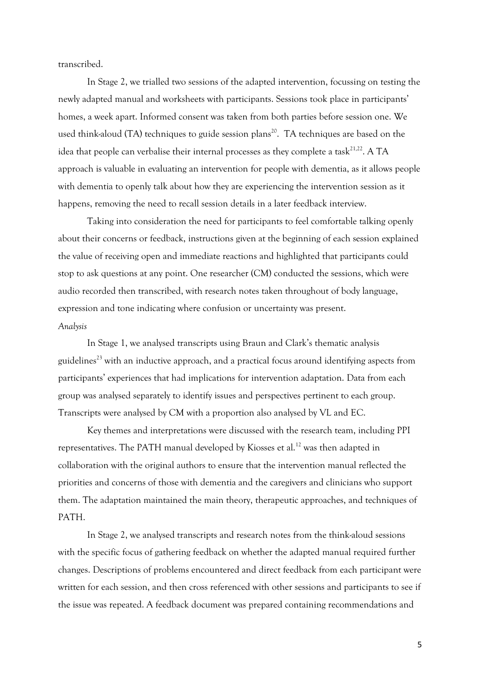transcribed.

In Stage 2, we trialled two sessions of the adapted intervention, focussing on testing the newly adapted manual and worksheets with participants. Sessions took place in participants' homes, a week apart. Informed consent was taken from both parties before session one. We used think-aloud (TA) techniques to guide session plans<sup>20</sup>. TA techniques are based on the idea that people can verbalise their internal processes as they complete a task $^{21,22}$ . A TA approach is valuable in evaluating an intervention for people with dementia, as it allows people with dementia to openly talk about how they are experiencing the intervention session as it happens, removing the need to recall session details in a later feedback interview.

Taking into consideration the need for participants to feel comfortable talking openly about their concerns or feedback, instructions given at the beginning of each session explained the value of receiving open and immediate reactions and highlighted that participants could stop to ask questions at any point. One researcher (CM) conducted the sessions, which were audio recorded then transcribed, with research notes taken throughout of body language, expression and tone indicating where confusion or uncertainty was present. *Analysis*

In Stage 1, we analysed transcripts using Braun and Clark's thematic analysis guidelines<sup>23</sup> with an inductive approach, and a practical focus around identifying aspects from participants' experiences that had implications for intervention adaptation. Data from each group was analysed separately to identify issues and perspectives pertinent to each group. Transcripts were analysed by CM with a proportion also analysed by VL and EC.

Key themes and interpretations were discussed with the research team, including PPI representatives. The PATH manual developed by Kiosses et al.<sup>12</sup> was then adapted in collaboration with the original authors to ensure that the intervention manual reflected the priorities and concerns of those with dementia and the caregivers and clinicians who support them. The adaptation maintained the main theory, therapeutic approaches, and techniques of PATH.

In Stage 2, we analysed transcripts and research notes from the think-aloud sessions with the specific focus of gathering feedback on whether the adapted manual required further changes. Descriptions of problems encountered and direct feedback from each participant were written for each session, and then cross referenced with other sessions and participants to see if the issue was repeated. A feedback document was prepared containing recommendations and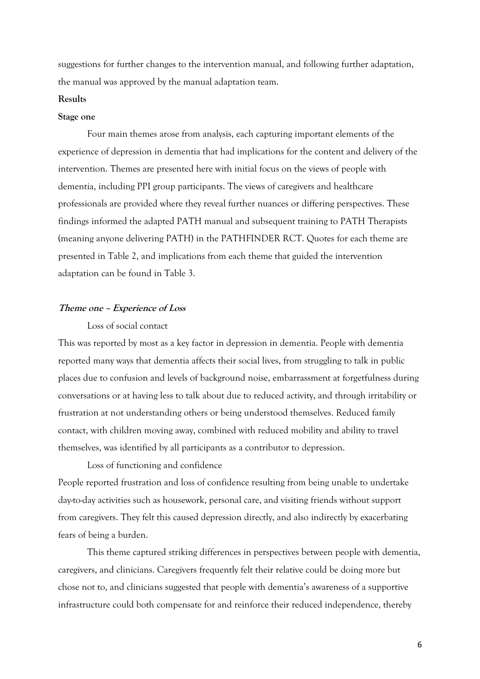suggestions for further changes to the intervention manual, and following further adaptation, the manual was approved by the manual adaptation team.

#### **Results**

#### **Stage one**

Four main themes arose from analysis, each capturing important elements of the experience of depression in dementia that had implications for the content and delivery of the intervention. Themes are presented here with initial focus on the views of people with dementia, including PPI group participants. The views of caregivers and healthcare professionals are provided where they reveal further nuances or differing perspectives. These findings informed the adapted PATH manual and subsequent training to PATH Therapists (meaning anyone delivering PATH) in the PATHFINDER RCT. Quotes for each theme are presented in Table 2, and implications from each theme that guided the intervention adaptation can be found in Table 3.

# **Theme one – Experience of Loss**

# Loss of social contact

This was reported by most as a key factor in depression in dementia. People with dementia reported many ways that dementia affects their social lives, from struggling to talk in public places due to confusion and levels of background noise, embarrassment at forgetfulness during conversations or at having less to talk about due to reduced activity, and through irritability or frustration at not understanding others or being understood themselves. Reduced family contact, with children moving away, combined with reduced mobility and ability to travel themselves, was identified by all participants as a contributor to depression.

Loss of functioning and confidence People reported frustration and loss of confidence resulting from being unable to undertake day-to-day activities such as housework, personal care, and visiting friends without support from caregivers. They felt this caused depression directly, and also indirectly by exacerbating fears of being a burden.

This theme captured striking differences in perspectives between people with dementia, caregivers, and clinicians. Caregivers frequently felt their relative could be doing more but chose not to, and clinicians suggested that people with dementia's awareness of a supportive infrastructure could both compensate for and reinforce their reduced independence, thereby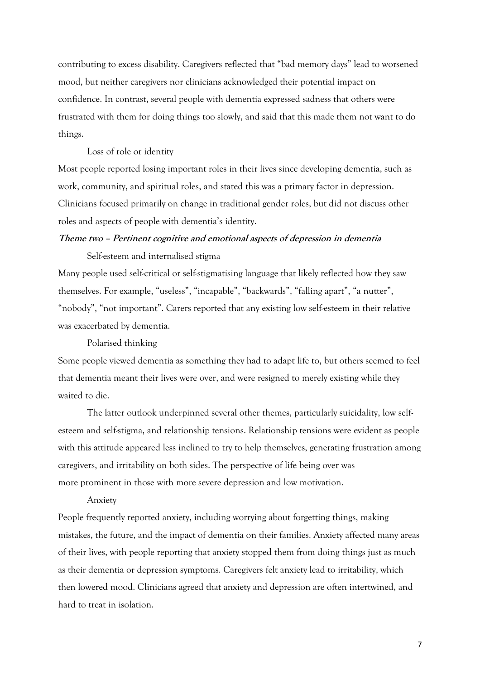contributing to excess disability. Caregivers reflected that "bad memory days" lead to worsened mood, but neither caregivers nor clinicians acknowledged their potential impact on confidence. In contrast, several people with dementia expressed sadness that others were frustrated with them for doing things too slowly, and said that this made them not want to do things.

# Loss of role or identity

Most people reported losing important roles in their lives since developing dementia, such as work, community, and spiritual roles, and stated this was a primary factor in depression. Clinicians focused primarily on change in traditional gender roles, but did not discuss other roles and aspects of people with dementia's identity.

# **Theme two – Pertinent cognitive and emotional aspects of depression in dementia**  Self-esteem and internalised stigma

Many people used self-critical or self-stigmatising language that likely reflected how they saw themselves. For example, "useless", "incapable", "backwards", "falling apart", "a nutter", "nobody", "not important". Carers reported that any existing low self-esteem in their relative was exacerbated by dementia.

Polarised thinking

Some people viewed dementia as something they had to adapt life to, but others seemed to feel that dementia meant their lives were over, and were resigned to merely existing while they waited to die.

The latter outlook underpinned several other themes, particularly suicidality, low selfesteem and self-stigma, and relationship tensions. Relationship tensions were evident as people with this attitude appeared less inclined to try to help themselves, generating frustration among caregivers, and irritability on both sides. The perspective of life being over was more prominent in those with more severe depression and low motivation.

#### Anxiety

People frequently reported anxiety, including worrying about forgetting things, making mistakes, the future, and the impact of dementia on their families. Anxiety affected many areas of their lives, with people reporting that anxiety stopped them from doing things just as much as their dementia or depression symptoms. Caregivers felt anxiety lead to irritability, which then lowered mood. Clinicians agreed that anxiety and depression are often intertwined, and hard to treat in isolation.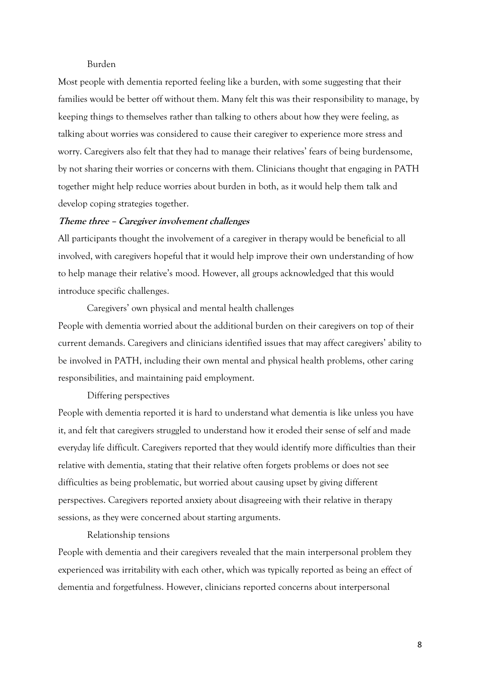# Burden

Most people with dementia reported feeling like a burden, with some suggesting that their families would be better off without them. Many felt this was their responsibility to manage, by keeping things to themselves rather than talking to others about how they were feeling, as talking about worries was considered to cause their caregiver to experience more stress and worry. Caregivers also felt that they had to manage their relatives' fears of being burdensome, by not sharing their worries or concerns with them. Clinicians thought that engaging in PATH together might help reduce worries about burden in both, as it would help them talk and develop coping strategies together.

## **Theme three – Caregiver involvement challenges**

All participants thought the involvement of a caregiver in therapy would be beneficial to all involved, with caregivers hopeful that it would help improve their own understanding of how to help manage their relative's mood. However, all groups acknowledged that this would introduce specific challenges.

Caregivers' own physical and mental health challenges People with dementia worried about the additional burden on their caregivers on top of their current demands. Caregivers and clinicians identified issues that may affect caregivers' ability to be involved in PATH, including their own mental and physical health problems, other caring responsibilities, and maintaining paid employment.

## Differing perspectives

People with dementia reported it is hard to understand what dementia is like unless you have it, and felt that caregivers struggled to understand how it eroded their sense of self and made everyday life difficult. Caregivers reported that they would identify more difficulties than their relative with dementia, stating that their relative often forgets problems or does not see difficulties as being problematic, but worried about causing upset by giving different perspectives. Caregivers reported anxiety about disagreeing with their relative in therapy sessions, as they were concerned about starting arguments.

## Relationship tensions

People with dementia and their caregivers revealed that the main interpersonal problem they experienced was irritability with each other, which was typically reported as being an effect of dementia and forgetfulness. However, clinicians reported concerns about interpersonal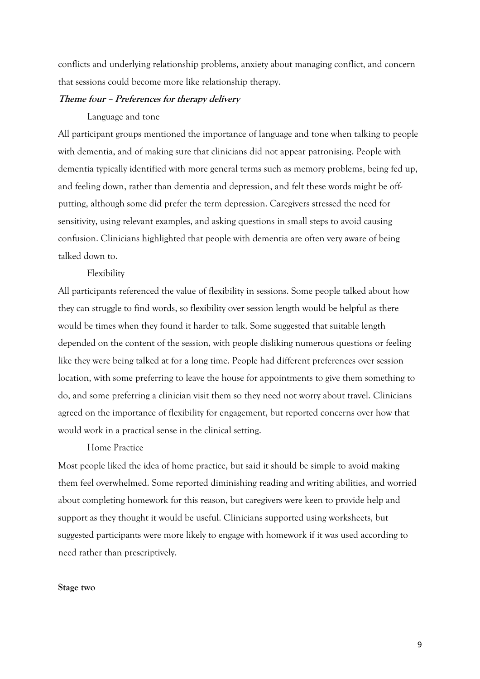conflicts and underlying relationship problems, anxiety about managing conflict, and concern that sessions could become more like relationship therapy.

# **Theme four – Preferences for therapy delivery**

#### Language and tone

All participant groups mentioned the importance of language and tone when talking to people with dementia, and of making sure that clinicians did not appear patronising. People with dementia typically identified with more general terms such as memory problems, being fed up, and feeling down, rather than dementia and depression, and felt these words might be offputting, although some did prefer the term depression. Caregivers stressed the need for sensitivity, using relevant examples, and asking questions in small steps to avoid causing confusion. Clinicians highlighted that people with dementia are often very aware of being talked down to.

## Flexibility

All participants referenced the value of flexibility in sessions. Some people talked about how they can struggle to find words, so flexibility over session length would be helpful as there would be times when they found it harder to talk. Some suggested that suitable length depended on the content of the session, with people disliking numerous questions or feeling like they were being talked at for a long time. People had different preferences over session location, with some preferring to leave the house for appointments to give them something to do, and some preferring a clinician visit them so they need not worry about travel. Clinicians agreed on the importance of flexibility for engagement, but reported concerns over how that would work in a practical sense in the clinical setting.

#### Home Practice

Most people liked the idea of home practice, but said it should be simple to avoid making them feel overwhelmed. Some reported diminishing reading and writing abilities, and worried about completing homework for this reason, but caregivers were keen to provide help and support as they thought it would be useful. Clinicians supported using worksheets, but suggested participants were more likely to engage with homework if it was used according to need rather than prescriptively.

#### **Stage two**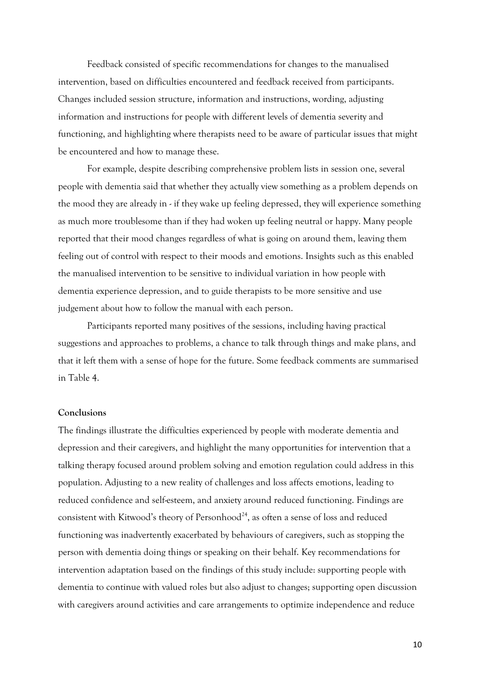Feedback consisted of specific recommendations for changes to the manualised intervention, based on difficulties encountered and feedback received from participants. Changes included session structure, information and instructions, wording, adjusting information and instructions for people with different levels of dementia severity and functioning, and highlighting where therapists need to be aware of particular issues that might be encountered and how to manage these.

For example, despite describing comprehensive problem lists in session one, several people with dementia said that whether they actually view something as a problem depends on the mood they are already in - if they wake up feeling depressed, they will experience something as much more troublesome than if they had woken up feeling neutral or happy. Many people reported that their mood changes regardless of what is going on around them, leaving them feeling out of control with respect to their moods and emotions. Insights such as this enabled the manualised intervention to be sensitive to individual variation in how people with dementia experience depression, and to guide therapists to be more sensitive and use judgement about how to follow the manual with each person.

Participants reported many positives of the sessions, including having practical suggestions and approaches to problems, a chance to talk through things and make plans, and that it left them with a sense of hope for the future. Some feedback comments are summarised in Table 4.

## **Conclusions**

The findings illustrate the difficulties experienced by people with moderate dementia and depression and their caregivers, and highlight the many opportunities for intervention that a talking therapy focused around problem solving and emotion regulation could address in this population. Adjusting to a new reality of challenges and loss affects emotions, leading to reduced confidence and self-esteem, and anxiety around reduced functioning. Findings are consistent with Kitwood's theory of Personhood<sup>24</sup>, as often a sense of loss and reduced functioning was inadvertently exacerbated by behaviours of caregivers, such as stopping the person with dementia doing things or speaking on their behalf. Key recommendations for intervention adaptation based on the findings of this study include: supporting people with dementia to continue with valued roles but also adjust to changes; supporting open discussion with caregivers around activities and care arrangements to optimize independence and reduce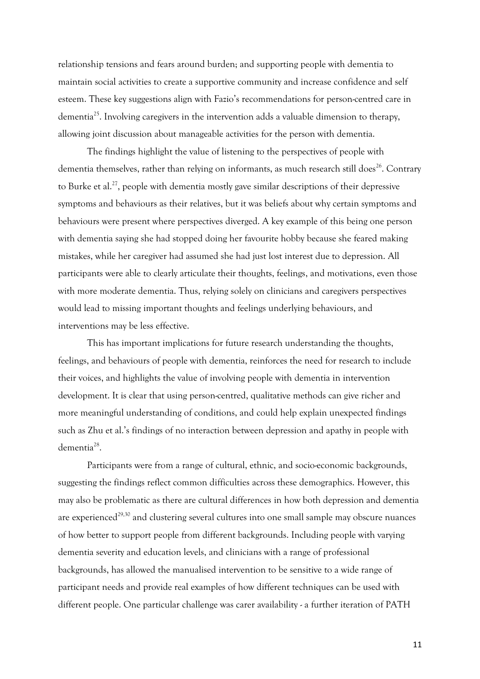relationship tensions and fears around burden; and supporting people with dementia to maintain social activities to create a supportive community and increase confidence and self esteem. These key suggestions align with Fazio's recommendations for person-centred care in dementia<sup>25</sup>. Involving caregivers in the intervention adds a valuable dimension to therapy, allowing joint discussion about manageable activities for the person with dementia.

The findings highlight the value of listening to the perspectives of people with dementia themselves, rather than relying on informants, as much research still does $^{26}$ . Contrary to Burke et al.<sup>27</sup>, people with dementia mostly gave similar descriptions of their depressive symptoms and behaviours as their relatives, but it was beliefs about why certain symptoms and behaviours were present where perspectives diverged. A key example of this being one person with dementia saying she had stopped doing her favourite hobby because she feared making mistakes, while her caregiver had assumed she had just lost interest due to depression. All participants were able to clearly articulate their thoughts, feelings, and motivations, even those with more moderate dementia. Thus, relying solely on clinicians and caregivers perspectives would lead to missing important thoughts and feelings underlying behaviours, and interventions may be less effective.

This has important implications for future research understanding the thoughts, feelings, and behaviours of people with dementia, reinforces the need for research to include their voices, and highlights the value of involving people with dementia in intervention development. It is clear that using person-centred, qualitative methods can give richer and more meaningful understanding of conditions, and could help explain unexpected findings such as Zhu et al.'s findings of no interaction between depression and apathy in people with dementia<sup>28</sup>.

Participants were from a range of cultural, ethnic, and socio-economic backgrounds, suggesting the findings reflect common difficulties across these demographics. However, this may also be problematic as there are cultural differences in how both depression and dementia are experienced<sup>29,30</sup> and clustering several cultures into one small sample may obscure nuances of how better to support people from different backgrounds. Including people with varying dementia severity and education levels, and clinicians with a range of professional backgrounds, has allowed the manualised intervention to be sensitive to a wide range of participant needs and provide real examples of how different techniques can be used with different people. One particular challenge was carer availability - a further iteration of PATH

11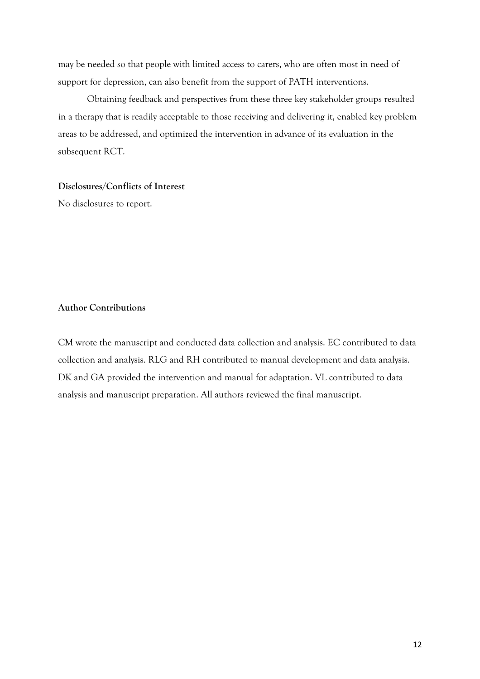may be needed so that people with limited access to carers, who are often most in need of support for depression, can also benefit from the support of PATH interventions.

Obtaining feedback and perspectives from these three key stakeholder groups resulted in a therapy that is readily acceptable to those receiving and delivering it, enabled key problem areas to be addressed, and optimized the intervention in advance of its evaluation in the subsequent RCT.

# **Disclosures/Conflicts of Interest**

No disclosures to report.

# **Author Contributions**

CM wrote the manuscript and conducted data collection and analysis. EC contributed to data collection and analysis. RLG and RH contributed to manual development and data analysis. DK and GA provided the intervention and manual for adaptation. VL contributed to data analysis and manuscript preparation. All authors reviewed the final manuscript.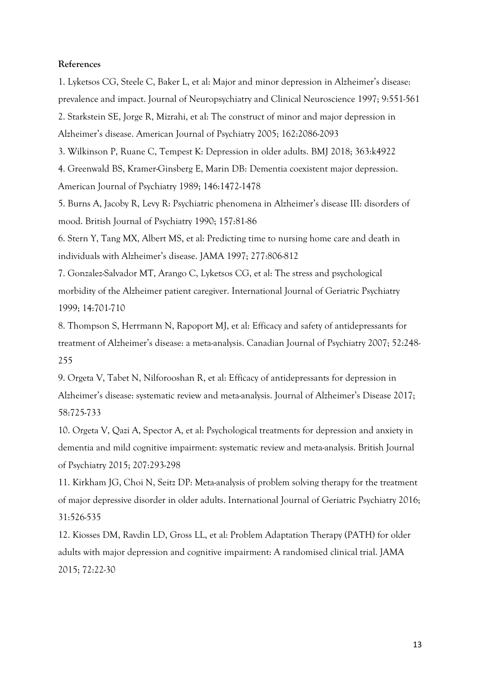# **References**

1. Lyketsos CG, Steele C, Baker L, et al: Major and minor depression in Alzheimer's disease: prevalence and impact. Journal of Neuropsychiatry and Clinical Neuroscience 1997; 9:551-561 2. Starkstein SE, Jorge R, Mizrahi, et al: The construct of minor and major depression in Alzheimer's disease. American Journal of Psychiatry 2005; 162:2086-2093

3. Wilkinson P, Ruane C, Tempest K: Depression in older adults. BMJ 2018; 363:k4922

4. Greenwald BS, Kramer-Ginsberg E, Marin DB: Dementia coexistent major depression. American Journal of Psychiatry 1989; 146:1472-1478

5. Burns A, Jacoby R, Levy R: Psychiatric phenomena in Alzheimer's disease III: disorders of mood. British Journal of Psychiatry 1990; 157:81-86

6. Stern Y, Tang MX, Albert MS, et al: Predicting time to nursing home care and death in individuals with Alzheimer's disease. JAMA 1997; 277:806-812

7. Gonzalez-Salvador MT, Arango C, Lyketsos CG, et al: The stress and psychological morbidity of the Alzheimer patient caregiver. International Journal of Geriatric Psychiatry 1999; 14:701-710

8. Thompson S, Herrmann N, Rapoport MJ, et al: Efficacy and safety of antidepressants for treatment of Alzheimer's disease: a meta-analysis. Canadian Journal of Psychiatry 2007; 52:248- 255

9. Orgeta V, Tabet N, Nilforooshan R, et al: Efficacy of antidepressants for depression in Alzheimer's disease: systematic review and meta-analysis. Journal of Alzheimer's Disease 2017; 58:725-733

10. Orgeta V, Qazi A, Spector A, et al: Psychological treatments for depression and anxiety in dementia and mild cognitive impairment: systematic review and meta-analysis. British Journal of Psychiatry 2015; 207:293-298

11. Kirkham JG, Choi N, Seitz DP: Meta-analysis of problem solving therapy for the treatment of major depressive disorder in older adults. International Journal of Geriatric Psychiatry 2016; 31:526-535

12. Kiosses DM, Ravdin LD, Gross LL, et al: Problem Adaptation Therapy (PATH) for older adults with major depression and cognitive impairment: A randomised clinical trial. JAMA 2015; 72:22-30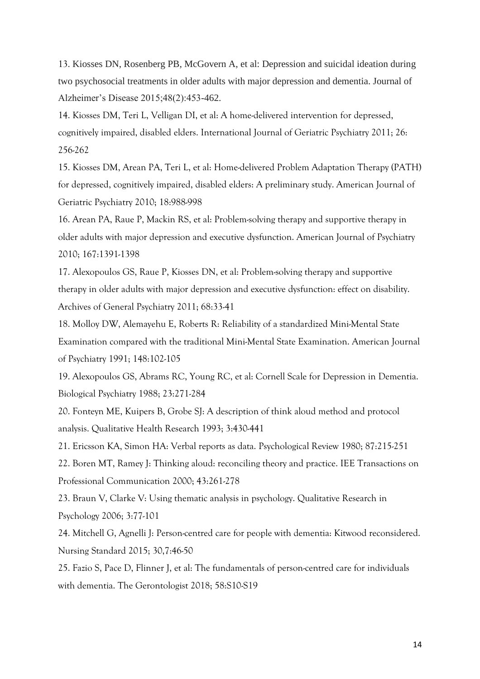13. Kiosses DN, Rosenberg PB, McGovern A, et al: Depression and suicidal ideation during two psychosocial treatments in older adults with major depression and dementia. Journal of Alzheimer's Disease 2015;48(2):453-462.

14. Kiosses DM, Teri L, Velligan DI, et al: A home-delivered intervention for depressed, cognitively impaired, disabled elders. International Journal of Geriatric Psychiatry 2011; 26: 256-262

15. Kiosses DM, Arean PA, Teri L, et al: Home-delivered Problem Adaptation Therapy (PATH) for depressed, cognitively impaired, disabled elders: A preliminary study. American Journal of Geriatric Psychiatry 2010; 18:988-998

16. Arean PA, Raue P, Mackin RS, et al: Problem-solving therapy and supportive therapy in older adults with major depression and executive dysfunction. American Journal of Psychiatry 2010; 167:1391-1398

17. Alexopoulos GS, Raue P, Kiosses DN, et al: Problem-solving therapy and supportive therapy in older adults with major depression and executive dysfunction: effect on disability. Archives of General Psychiatry 2011; 68:33-41

18. Molloy DW, Alemayehu E, Roberts R: Reliability of a standardized Mini-Mental State Examination compared with the traditional Mini-Mental State Examination. American Journal of Psychiatry 1991; 148:102-105

19. Alexopoulos GS, Abrams RC, Young RC, et al: Cornell Scale for Depression in Dementia. Biological Psychiatry 1988; 23:271-284

20. Fonteyn ME, Kuipers B, Grobe SJ: A description of think aloud method and protocol analysis. Qualitative Health Research 1993; 3:430-441

21. Ericsson KA, Simon HA: Verbal reports as data. Psychological Review 1980; 87:215-251

22. Boren MT, Ramey J: Thinking aloud: reconciling theory and practice. IEE Transactions on Professional Communication 2000; 43:261-278

23. Braun V, Clarke V: Using thematic analysis in psychology. Qualitative Research in Psychology 2006; 3:77-101

24. Mitchell G, Agnelli J: Person-centred care for people with dementia: Kitwood reconsidered. Nursing Standard 2015; 30,7:46-50

25. Fazio S, Pace D, Flinner J, et al: The fundamentals of person-centred care for individuals with dementia. The Gerontologist 2018; 58:S10-S19